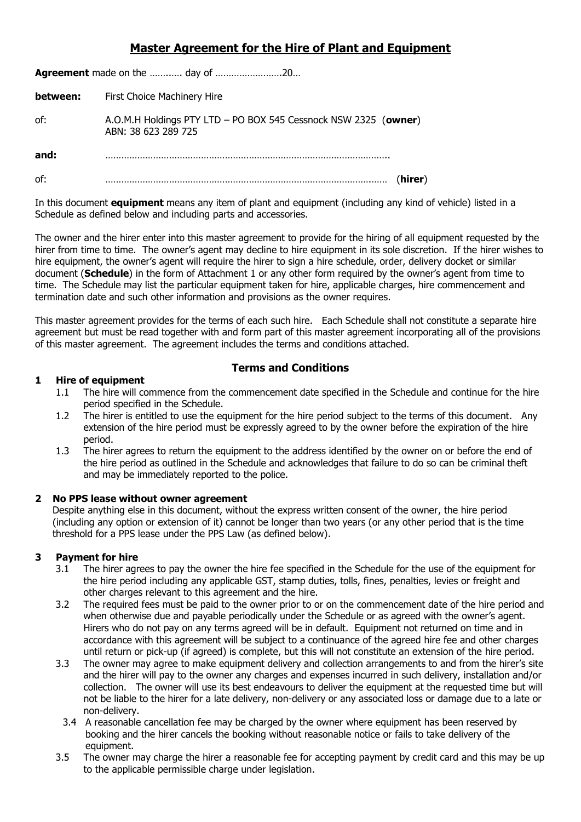## **Master Agreement for the Hire of Plant and Equipment**

| between: | First Choice Machinery Hire                                                            |  |
|----------|----------------------------------------------------------------------------------------|--|
| of:      | A.O.M.H Holdings PTY LTD - PO BOX 545 Cessnock NSW 2325 (owner)<br>ABN: 38 623 289 725 |  |
| and:     |                                                                                        |  |
| of:      | (hirer)                                                                                |  |

In this document **equipment** means any item of plant and equipment (including any kind of vehicle) listed in a Schedule as defined below and including parts and accessories.

The owner and the hirer enter into this master agreement to provide for the hiring of all equipment requested by the hirer from time to time. The owner's agent may decline to hire equipment in its sole discretion. If the hirer wishes to hire equipment, the owner's agent will require the hirer to sign a hire schedule, order, delivery docket or similar document (**Schedule**) in the form of Attachment 1 or any other form required by the owner's agent from time to time. The Schedule may list the particular equipment taken for hire, applicable charges, hire commencement and termination date and such other information and provisions as the owner requires.

This master agreement provides for the terms of each such hire. Each Schedule shall not constitute a separate hire agreement but must be read together with and form part of this master agreement incorporating all of the provisions of this master agreement. The agreement includes the terms and conditions attached.

#### **1 Hire of equipment**

## **Terms and Conditions**

- 1.1 The hire will commence from the commencement date specified in the Schedule and continue for the hire period specified in the Schedule.
- 1.2 The hirer is entitled to use the equipment for the hire period subject to the terms of this document. Any extension of the hire period must be expressly agreed to by the owner before the expiration of the hire period.
- 1.3 The hirer agrees to return the equipment to the address identified by the owner on or before the end of the hire period as outlined in the Schedule and acknowledges that failure to do so can be criminal theft and may be immediately reported to the police.

#### **2 No PPS lease without owner agreement**

Despite anything else in this document, without the express written consent of the owner, the hire period (including any option or extension of it) cannot be longer than two years (or any other period that is the time threshold for a PPS lease under the PPS Law (as defined below).

## **3 Payment for hire**

- 3.1 The hirer agrees to pay the owner the hire fee specified in the Schedule for the use of the equipment for the hire period including any applicable GST, stamp duties, tolls, fines, penalties, levies or freight and other charges relevant to this agreement and the hire.
- 3.2 The required fees must be paid to the owner prior to or on the commencement date of the hire period and when otherwise due and payable periodically under the Schedule or as agreed with the owner's agent. Hirers who do not pay on any terms agreed will be in default. Equipment not returned on time and in accordance with this agreement will be subject to a continuance of the agreed hire fee and other charges until return or pick-up (if agreed) is complete, but this will not constitute an extension of the hire period.
- 3.3 The owner may agree to make equipment delivery and collection arrangements to and from the hirer's site and the hirer will pay to the owner any charges and expenses incurred in such delivery, installation and/or collection. The owner will use its best endeavours to deliver the equipment at the requested time but will not be liable to the hirer for a late delivery, non-delivery or any associated loss or damage due to a late or non-delivery.
- 3.4 A reasonable cancellation fee may be charged by the owner where equipment has been reserved by booking and the hirer cancels the booking without reasonable notice or fails to take delivery of the equipment.
- 3.5 The owner may charge the hirer a reasonable fee for accepting payment by credit card and this may be up to the applicable permissible charge under legislation.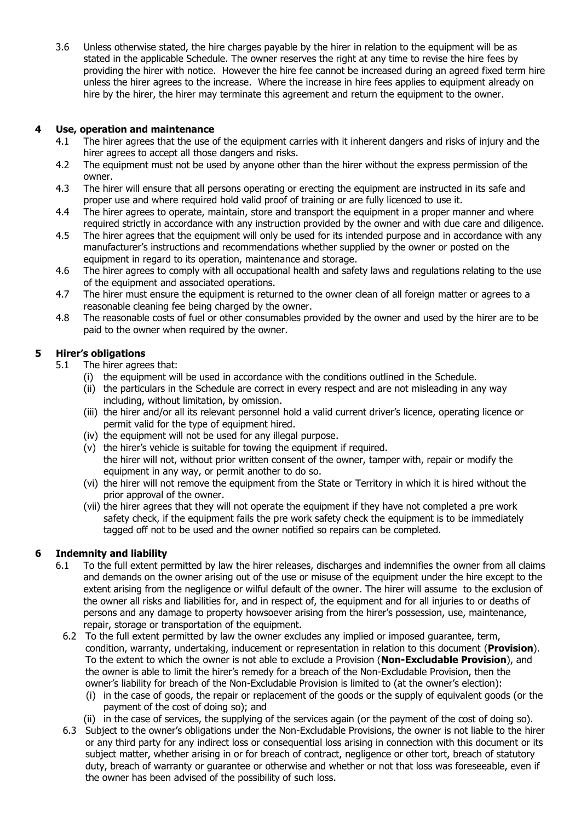3.6 Unless otherwise stated, the hire charges payable by the hirer in relation to the equipment will be as stated in the applicable Schedule. The owner reserves the right at any time to revise the hire fees by providing the hirer with notice. However the hire fee cannot be increased during an agreed fixed term hire unless the hirer agrees to the increase. Where the increase in hire fees applies to equipment already on hire by the hirer, the hirer may terminate this agreement and return the equipment to the owner.

## **4 Use, operation and maintenance**

- 4.1 The hirer agrees that the use of the equipment carries with it inherent dangers and risks of injury and the hirer agrees to accept all those dangers and risks.
- 4.2 The equipment must not be used by anyone other than the hirer without the express permission of the owner.
- 4.3 The hirer will ensure that all persons operating or erecting the equipment are instructed in its safe and proper use and where required hold valid proof of training or are fully licenced to use it.
- 4.4 The hirer agrees to operate, maintain, store and transport the equipment in a proper manner and where required strictly in accordance with any instruction provided by the owner and with due care and diligence.
- 4.5 The hirer agrees that the equipment will only be used for its intended purpose and in accordance with any manufacturer's instructions and recommendations whether supplied by the owner or posted on the equipment in regard to its operation, maintenance and storage.
- 4.6 The hirer agrees to comply with all occupational health and safety laws and regulations relating to the use of the equipment and associated operations.
- 4.7 The hirer must ensure the equipment is returned to the owner clean of all foreign matter or agrees to a reasonable cleaning fee being charged by the owner.
- 4.8 The reasonable costs of fuel or other consumables provided by the owner and used by the hirer are to be paid to the owner when required by the owner.

## **5 Hirer's obligations**

- 5.1 The hirer agrees that:
	- (i) the equipment will be used in accordance with the conditions outlined in the Schedule.
	- (ii) the particulars in the Schedule are correct in every respect and are not misleading in any way including, without limitation, by omission.
	- (iii) the hirer and/or all its relevant personnel hold a valid current driver's licence, operating licence or permit valid for the type of equipment hired.
	- (iv) the equipment will not be used for any illegal purpose.
	- (v) the hirer's vehicle is suitable for towing the equipment if required. the hirer will not, without prior written consent of the owner, tamper with, repair or modify the equipment in any way, or permit another to do so.
	- (vi) the hirer will not remove the equipment from the State or Territory in which it is hired without the prior approval of the owner.
	- (vii) the hirer agrees that they will not operate the equipment if they have not completed a pre work safety check, if the equipment fails the pre work safety check the equipment is to be immediately tagged off not to be used and the owner notified so repairs can be completed.

## **6 Indemnity and liability**

- 6.1 To the full extent permitted by law the hirer releases, discharges and indemnifies the owner from all claims and demands on the owner arising out of the use or misuse of the equipment under the hire except to the extent arising from the negligence or wilful default of the owner. The hirer will assume to the exclusion of the owner all risks and liabilities for, and in respect of, the equipment and for all injuries to or deaths of persons and any damage to property howsoever arising from the hirer's possession, use, maintenance, repair, storage or transportation of the equipment.
	- 6.2 To the full extent permitted by law the owner excludes any implied or imposed guarantee, term, condition, warranty, undertaking, inducement or representation in relation to this document (**Provision**). To the extent to which the owner is not able to exclude a Provision (**Non-Excludable Provision**), and the owner is able to limit the hirer's remedy for a breach of the Non-Excludable Provision, then the owner's liability for breach of the Non-Excludable Provision is limited to (at the owner's election):
		- (i) in the case of goods, the repair or replacement of the goods or the supply of equivalent goods (or the payment of the cost of doing so); and
		- (ii) in the case of services, the supplying of the services again (or the payment of the cost of doing so).
- 6.3 Subject to the owner's obligations under the Non-Excludable Provisions, the owner is not liable to the hirer or any third party for any indirect loss or consequential loss arising in connection with this document or its subject matter, whether arising in or for breach of contract, negligence or other tort, breach of statutory duty, breach of warranty or guarantee or otherwise and whether or not that loss was foreseeable, even if the owner has been advised of the possibility of such loss.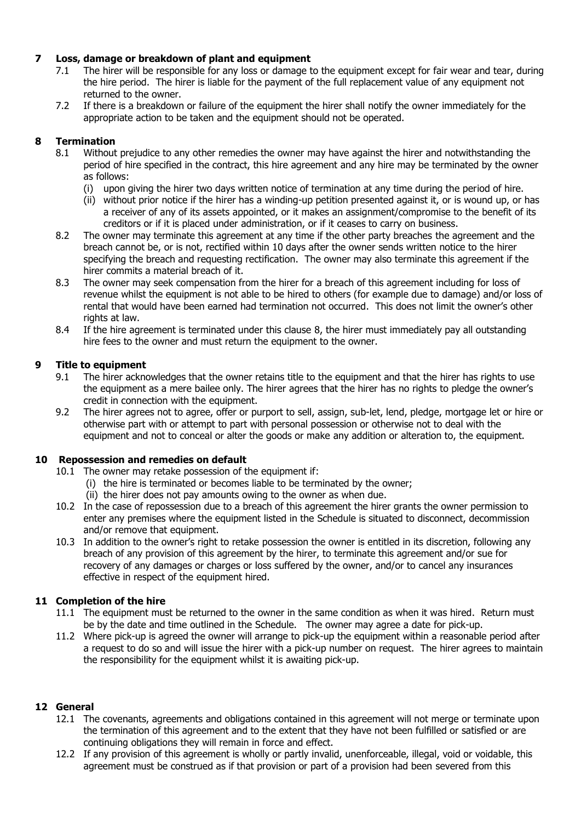## **7 Loss, damage or breakdown of plant and equipment**

- 7.1 The hirer will be responsible for any loss or damage to the equipment except for fair wear and tear, during the hire period. The hirer is liable for the payment of the full replacement value of any equipment not returned to the owner.
- 7.2 If there is a breakdown or failure of the equipment the hirer shall notify the owner immediately for the appropriate action to be taken and the equipment should not be operated.

## **8 Termination**

- 8.1 Without prejudice to any other remedies the owner may have against the hirer and notwithstanding the period of hire specified in the contract, this hire agreement and any hire may be terminated by the owner as follows:
	- (i) upon giving the hirer two days written notice of termination at any time during the period of hire.
	- (ii) without prior notice if the hirer has a winding-up petition presented against it, or is wound up, or has a receiver of any of its assets appointed, or it makes an assignment/compromise to the benefit of its creditors or if it is placed under administration, or if it ceases to carry on business.
- 8.2 The owner may terminate this agreement at any time if the other party breaches the agreement and the breach cannot be, or is not, rectified within 10 days after the owner sends written notice to the hirer specifying the breach and requesting rectification. The owner may also terminate this agreement if the hirer commits a material breach of it.
- 8.3 The owner may seek compensation from the hirer for a breach of this agreement including for loss of revenue whilst the equipment is not able to be hired to others (for example due to damage) and/or loss of rental that would have been earned had termination not occurred. This does not limit the owner's other rights at law.
- 8.4 If the hire agreement is terminated under this clause 8, the hirer must immediately pay all outstanding hire fees to the owner and must return the equipment to the owner.

## **9 Title to equipment**

- 9.1 The hirer acknowledges that the owner retains title to the equipment and that the hirer has rights to use the equipment as a mere bailee only. The hirer agrees that the hirer has no rights to pledge the owner's credit in connection with the equipment.
- 9.2 The hirer agrees not to agree, offer or purport to sell, assign, sub-let, lend, pledge, mortgage let or hire or otherwise part with or attempt to part with personal possession or otherwise not to deal with the equipment and not to conceal or alter the goods or make any addition or alteration to, the equipment.

## **10 Repossession and remedies on default**

- 10.1 The owner may retake possession of the equipment if:
	- (i) the hire is terminated or becomes liable to be terminated by the owner;
	- (ii) the hirer does not pay amounts owing to the owner as when due.
- 10.2 In the case of repossession due to a breach of this agreement the hirer grants the owner permission to enter any premises where the equipment listed in the Schedule is situated to disconnect, decommission and/or remove that equipment.
- 10.3 In addition to the owner's right to retake possession the owner is entitled in its discretion, following any breach of any provision of this agreement by the hirer, to terminate this agreement and/or sue for recovery of any damages or charges or loss suffered by the owner, and/or to cancel any insurances effective in respect of the equipment hired.

## **11 Completion of the hire**

- 11.1 The equipment must be returned to the owner in the same condition as when it was hired. Return must be by the date and time outlined in the Schedule. The owner may agree a date for pick-up.
- 11.2 Where pick-up is agreed the owner will arrange to pick-up the equipment within a reasonable period after a request to do so and will issue the hirer with a pick-up number on request. The hirer agrees to maintain the responsibility for the equipment whilst it is awaiting pick-up.

## **12 General**

- 12.1 The covenants, agreements and obligations contained in this agreement will not merge or terminate upon the termination of this agreement and to the extent that they have not been fulfilled or satisfied or are continuing obligations they will remain in force and effect.
- 12.2 If any provision of this agreement is wholly or partly invalid, unenforceable, illegal, void or voidable, this agreement must be construed as if that provision or part of a provision had been severed from this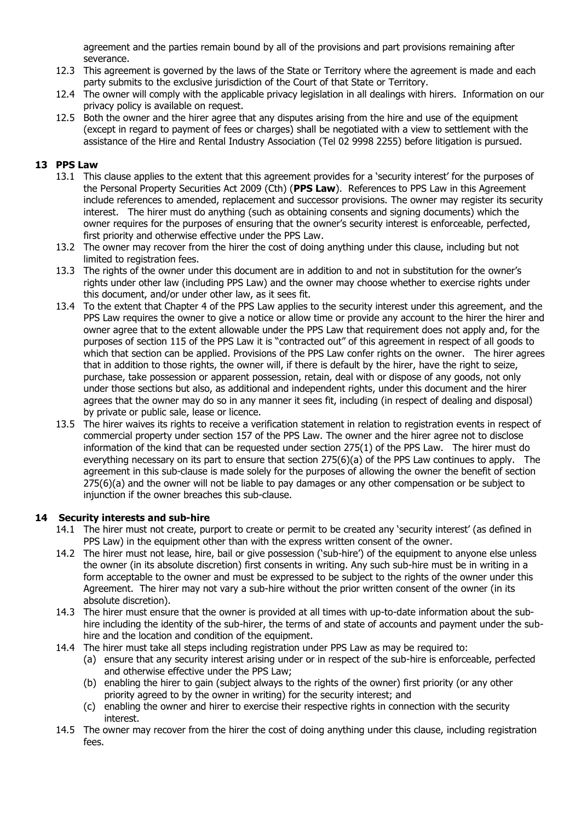agreement and the parties remain bound by all of the provisions and part provisions remaining after severance.

- 12.3 This agreement is governed by the laws of the State or Territory where the agreement is made and each party submits to the exclusive jurisdiction of the Court of that State or Territory.
- 12.4 The owner will comply with the applicable privacy legislation in all dealings with hirers. Information on our privacy policy is available on request.
- 12.5 Both the owner and the hirer agree that any disputes arising from the hire and use of the equipment (except in regard to payment of fees or charges) shall be negotiated with a view to settlement with the assistance of the Hire and Rental Industry Association (Tel 02 9998 2255) before litigation is pursued.

## **13 PPS Law**

- 13.1 This clause applies to the extent that this agreement provides for a 'security interest' for the purposes of the Personal Property Securities Act 2009 (Cth) (**PPS Law**). References to PPS Law in this Agreement include references to amended, replacement and successor provisions. The owner may register its security interest. The hirer must do anything (such as obtaining consents and signing documents) which the owner requires for the purposes of ensuring that the owner's security interest is enforceable, perfected, first priority and otherwise effective under the PPS Law.
- 13.2 The owner may recover from the hirer the cost of doing anything under this clause, including but not limited to registration fees.
- 13.3 The rights of the owner under this document are in addition to and not in substitution for the owner's rights under other law (including PPS Law) and the owner may choose whether to exercise rights under this document, and/or under other law, as it sees fit.
- 13.4 To the extent that Chapter 4 of the PPS Law applies to the security interest under this agreement, and the PPS Law requires the owner to give a notice or allow time or provide any account to the hirer the hirer and owner agree that to the extent allowable under the PPS Law that requirement does not apply and, for the purposes of section 115 of the PPS Law it is "contracted out" of this agreement in respect of all goods to which that section can be applied. Provisions of the PPS Law confer rights on the owner. The hirer agrees that in addition to those rights, the owner will, if there is default by the hirer, have the right to seize, purchase, take possession or apparent possession, retain, deal with or dispose of any goods, not only under those sections but also, as additional and independent rights, under this document and the hirer agrees that the owner may do so in any manner it sees fit, including (in respect of dealing and disposal) by private or public sale, lease or licence.
- 13.5 The hirer waives its rights to receive a verification statement in relation to registration events in respect of commercial property under section 157 of the PPS Law. The owner and the hirer agree not to disclose information of the kind that can be requested under section 275(1) of the PPS Law. The hirer must do everything necessary on its part to ensure that section 275(6)(a) of the PPS Law continues to apply. The agreement in this sub-clause is made solely for the purposes of allowing the owner the benefit of section 275(6)(a) and the owner will not be liable to pay damages or any other compensation or be subject to injunction if the owner breaches this sub-clause.

#### **14 Security interests and sub-hire**

- 14.1 The hirer must not create, purport to create or permit to be created any 'security interest' (as defined in PPS Law) in the equipment other than with the express written consent of the owner.
- 14.2 The hirer must not lease, hire, bail or give possession ('sub-hire') of the equipment to anyone else unless the owner (in its absolute discretion) first consents in writing. Any such sub-hire must be in writing in a form acceptable to the owner and must be expressed to be subject to the rights of the owner under this Agreement. The hirer may not vary a sub-hire without the prior written consent of the owner (in its absolute discretion).
- 14.3 The hirer must ensure that the owner is provided at all times with up-to-date information about the subhire including the identity of the sub-hirer, the terms of and state of accounts and payment under the subhire and the location and condition of the equipment.
- 14.4 The hirer must take all steps including registration under PPS Law as may be required to:
	- (a) ensure that any security interest arising under or in respect of the sub-hire is enforceable, perfected and otherwise effective under the PPS Law;
	- (b) enabling the hirer to gain (subject always to the rights of the owner) first priority (or any other priority agreed to by the owner in writing) for the security interest; and
	- (c) enabling the owner and hirer to exercise their respective rights in connection with the security interest.
- 14.5 The owner may recover from the hirer the cost of doing anything under this clause, including registration fees.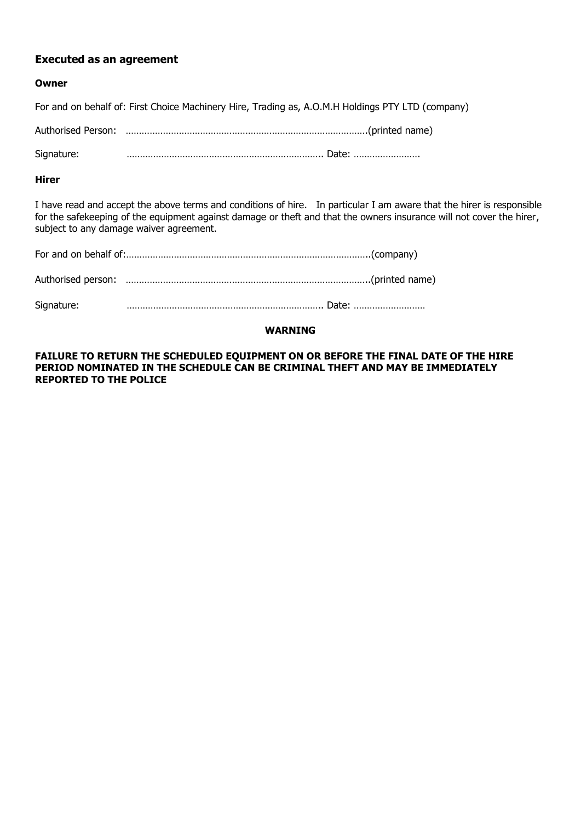## **Executed as an agreement**

#### **Owner**

For and on behalf of: First Choice Machinery Hire, Trading as, A.O.M.H Holdings PTY LTD (company)

Authorised Person: ……………………………………………………………………………….(printed name)

Signature: ……………………………………………………………….. Date: …………………….

#### **Hirer**

I have read and accept the above terms and conditions of hire. In particular I am aware that the hirer is responsible for the safekeeping of the equipment against damage or theft and that the owners insurance will not cover the hirer, subject to any damage waiver agreement.

| Signature: |  |
|------------|--|

#### **WARNING**

**FAILURE TO RETURN THE SCHEDULED EQUIPMENT ON OR BEFORE THE FINAL DATE OF THE HIRE PERIOD NOMINATED IN THE SCHEDULE CAN BE CRIMINAL THEFT AND MAY BE IMMEDIATELY REPORTED TO THE POLICE**